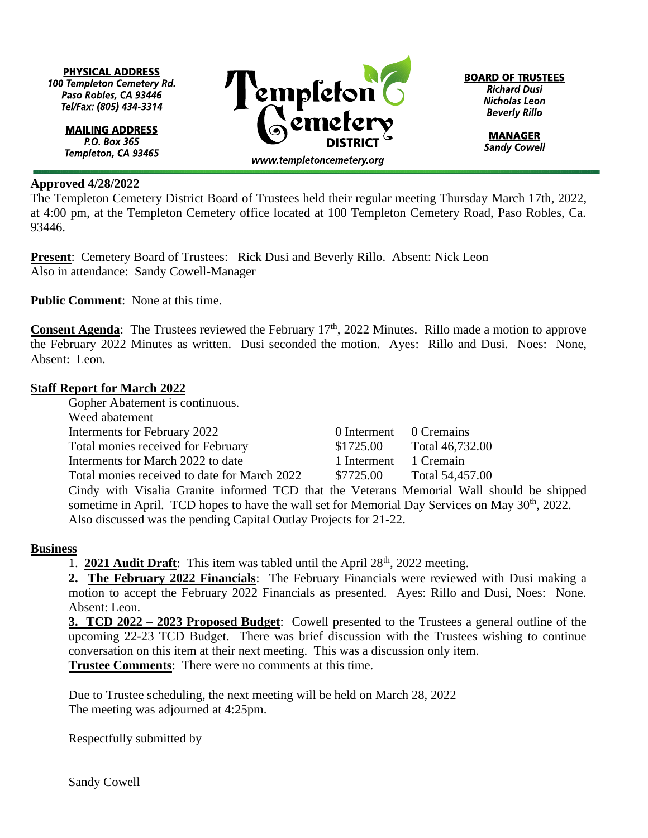**PHYSICAL ADDRESS** 100 Templeton Cemetery Rd. Paso Robles, CA 93446 Tel/Fax: (805) 434-3314

> **MAILING ADDRESS** P.O. Box 365 Templeton, CA 93465

## **Approved 4/28/2022**

The Templeton Cemetery District Board of Trustees held their regular meeting Thursday March 17th, 2022, at 4:00 pm, at the Templeton Cemetery office located at 100 Templeton Cemetery Road, Paso Robles, Ca. 93446.

**Present:** Cemetery Board of Trustees: Rick Dusi and Beverly Rillo. Absent: Nick Leon Also in attendance: Sandy Cowell-Manager

**Public Comment**: None at this time.

**Consent Agenda**: The Trustees reviewed the February 17<sup>th</sup>, 2022 Minutes. Rillo made a motion to approve the February 2022 Minutes as written. Dusi seconded the motion. Ayes: Rillo and Dusi. Noes: None, Absent: Leon.

## **Staff Report for March 2022**

Gopher Abatement is continuous.

Weed abatement Interments for February 2022 0 Interment 0 Cremains Total monies received for February \$1725.00 Total 46,732.00 Interments for March 2022 to date 1 Interment 1 Cremain Total monies received to date for March 2022 \$7725.00 Total 54,457.00

Cindy with Visalia Granite informed TCD that the Veterans Memorial Wall should be shipped sometime in April. TCD hopes to have the wall set for Memorial Day Services on May 30<sup>th</sup>, 2022. Also discussed was the pending Capital Outlay Projects for 21-22.

## **Business**

1. **2021 Audit Draft**: This item was tabled until the April 28<sup>th</sup>, 2022 meeting.

**2. The February 2022 Financials**: The February Financials were reviewed with Dusi making a motion to accept the February 2022 Financials as presented. Ayes: Rillo and Dusi, Noes: None. Absent: Leon.

**3. TCD 2022 – 2023 Proposed Budget**: Cowell presented to the Trustees a general outline of the upcoming 22-23 TCD Budget. There was brief discussion with the Trustees wishing to continue conversation on this item at their next meeting. This was a discussion only item.

**Trustee Comments**: There were no comments at this time.

Due to Trustee scheduling, the next meeting will be held on March 28, 2022 The meeting was adjourned at 4:25pm.

Respectfully submitted by

Sandy Cowell

 $\Gamma$ empleton www.templetoncemetery.org

**BOARD OF TRUSTEES Richard Dusi** Nicholas Leon **Beverly Rillo** 

> **MANAGER Sandy Cowell**